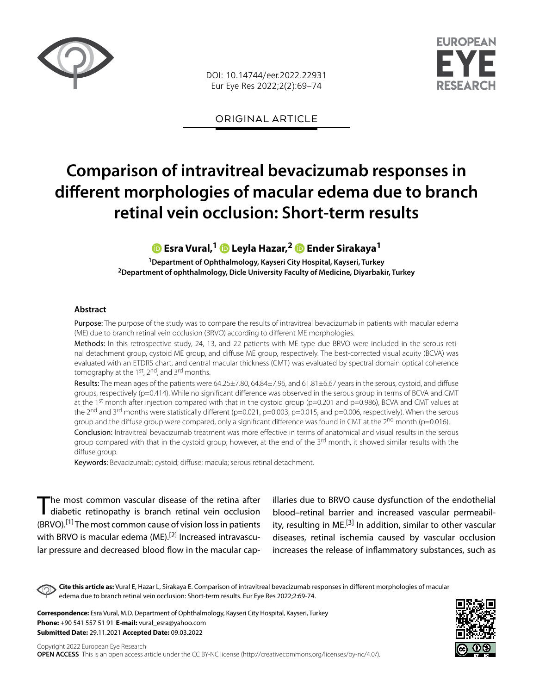

DOI: 10.14744/eer.2022.22931 Eur Eye Res 2022;2(2):69–74



ORIGINAL ARTICLE

# **Comparison of intravitreal bevacizumab responses in different morphologies of macular edema due to branch retinal vein occlusion: Short-term results**

## **Esra Vural,1Leyla Hazar,2 [E](https://orcid.org/0000-0003-2013-6338)nder Sirakaya1**

**1Department of Ophthalmology, Kayseri City Hospital, Kayseri, Turkey 2Department of ophthalmology, Dicle University Faculty of Medicine, Diyarbakir, Turkey**

#### **Abstract**

Purpose: The purpose of the study was to compare the results of intravitreal bevacizumab in patients with macular edema (ME) due to branch retinal vein occlusion (BRVO) according to different ME morphologies.

Methods: In this retrospective study, 24, 13, and 22 patients with ME type due BRVO were included in the serous retinal detachment group, cystoid ME group, and diffuse ME group, respectively. The best-corrected visual acuity (BCVA) was evaluated with an ETDRS chart, and central macular thickness (CMT) was evaluated by spectral domain optical coherence tomography at the 1<sup>st</sup>, 2<sup>nd</sup>, and 3<sup>rd</sup> months.

Results: The mean ages of the patients were 64.25±7.80, 64.84±7.96, and 61.81±6.67 years in the serous, cystoid, and diffuse groups, respectively (p=0.414). While no significant difference was observed in the serous group in terms of BCVA and CMT at the 1<sup>st</sup> month after injection compared with that in the cystoid group (p=0.201 and p=0.986), BCVA and CMT values at the 2<sup>nd</sup> and 3<sup>rd</sup> months were statistically different (p=0.021, p=0.003, p=0.015, and p=0.006, respectively). When the serous group and the diffuse group were compared, only a significant difference was found in CMT at the  $2^{nd}$  month (p=0.016). Conclusion: Intravitreal bevacizumab treatment was more effective in terms of anatomical and visual results in the serous

group compared with that in the cystoid group; however, at the end of the  $3^{rd}$  month, it showed similar results with the diffuse group.

Keywords: Bevacizumab; cystoid; diffuse; macula; serous retinal detachment.

The most common vascular disease of the retina after<br>diabetic retinopathy is branch retinal vein occlusion  $(BRVO).$ <sup>[1]</sup> The most common cause of vision loss in patients with BRVO is macular edema (ME).<sup>[2]</sup> Increased intravascular pressure and decreased blood flow in the macular capillaries due to BRVO cause dysfunction of the endothelial blood–retinal barrier and increased vascular permeability, resulting in  $ME$ <sup>[3]</sup> In addition, similar to other vascular diseases, retinal ischemia caused by vascular occlusion increases the release of inflammatory substances, such as

**Cite this article as:** Vural E, Hazar L, Sirakaya E. Comparison of intravitreal bevacizumab responses in different morphologies of macular edema due to branch retinal vein occlusion: Short-term results. Eur Eye Res 2022;2:69-74.

**Correspondence:** Esra Vural, M.D. Department of Ophthalmology, Kayseri City Hospital, Kayseri, Turkey **Phone:** +90 541 557 51 91 **E-mail:** vural\_esra@yahoo.com **Submitted Date:** 29.11.2021 **Accepted Date:** 09.03.2022

Copyright 2022 European Eye Research **OPEN ACCESS** This is an open access article under the CC BY-NC license (http://creativecommons.org/licenses/by-nc/4.0/).

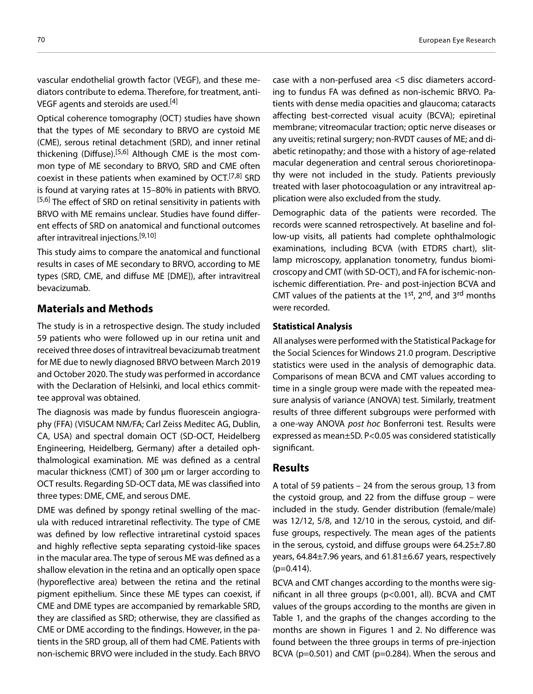vascular endothelial growth factor (VEGF), and these mediators contribute to edema. Therefore, for treatment, anti-VEGF agents and steroids are used.<sup>[4]</sup>

Optical coherence tomography (OCT) studies have shown that the types of ME secondary to BRVO are cystoid ME (CME), serous retinal detachment (SRD), and inner retinal thickening (Diffuse).<sup>[5,6]</sup> Although CME is the most common type of ME secondary to BRVO, SRD and CME often coexist in these patients when examined by OCT.<sup>[7,8]</sup> SRD is found at varying rates at 15–80% in patients with BRVO. [5,6] The effect of SRD on retinal sensitivity in patients with BRVO with ME remains unclear. Studies have found different effects of SRD on anatomical and functional outcomes after intravitreal injections.<sup>[9,10]</sup>

This study aims to compare the anatomical and functional results in cases of ME secondary to BRVO, according to ME types (SRD, CME, and diffuse ME [DME]), after intravitreal bevacizumab.

## **Materials and Methods**

The study is in a retrospective design. The study included 59 patients who were followed up in our retina unit and received three doses of intravitreal bevacizumab treatment for ME due to newly diagnosed BRVO between March 2019 and October 2020. The study was performed in accordance with the Declaration of Helsinki, and local ethics committee approval was obtained.

The diagnosis was made by fundus fluorescein angiography (FFA) (VISUCAM NM/FA; Carl Zeiss Meditec AG, Dublin, CA, USA) and spectral domain OCT (SD-OCT, Heidelberg Engineering, Heidelberg, Germany) after a detailed ophthalmological examination. ME was defined as a central macular thickness (CMT) of 300 μm or larger according to OCT results. Regarding SD-OCT data, ME was classified into three types: DME, CME, and serous DME.

DME was defined by spongy retinal swelling of the macula with reduced intraretinal reflectivity. The type of CME was defined by low reflective intraretinal cystoid spaces and highly reflective septa separating cystoid-like spaces in the macular area. The type of serous ME was defined as a shallow elevation in the retina and an optically open space (hyporeflective area) between the retina and the retinal pigment epithelium. Since these ME types can coexist, if CME and DME types are accompanied by remarkable SRD, they are classified as SRD; otherwise, they are classified as CME or DME according to the findings. However, in the patients in the SRD group, all of them had CME. Patients with non-ischemic BRVO were included in the study. Each BRVO

case with a non-perfused area <5 disc diameters according to fundus FA was defined as non-ischemic BRVO. Patients with dense media opacities and glaucoma; cataracts affecting best-corrected visual acuity (BCVA); epiretinal membrane; vitreomacular traction; optic nerve diseases or any uveitis; retinal surgery; non-RVDT causes of ME; and diabetic retinopathy; and those with a history of age-related macular degeneration and central serous chorioretinopathy were not included in the study. Patients previously treated with laser photocoagulation or any intravitreal application were also excluded from the study.

Demographic data of the patients were recorded. The records were scanned retrospectively. At baseline and follow-up visits, all patients had complete ophthalmologic examinations, including BCVA (with ETDRS chart), slitlamp microscopy, applanation tonometry, fundus biomicroscopy and CMT (with SD-OCT), and FA for ischemic-nonischemic differentiation. Pre- and post-injection BCVA and CMT values of the patients at the  $1^{st}$ ,  $2^{nd}$ , and  $3^{rd}$  months were recorded.

#### **Statistical Analysis**

All analyses were performed with the Statistical Package for the Social Sciences for Windows 21.0 program. Descriptive statistics were used in the analysis of demographic data. Comparisons of mean BCVA and CMT values according to time in a single group were made with the repeated measure analysis of variance (ANOVA) test. Similarly, treatment results of three different subgroups were performed with a one-way ANOVA *post hoc* Bonferroni test. Results were expressed as mean±SD. P<0.05 was considered statistically significant.

## **Results**

A total of 59 patients – 24 from the serous group, 13 from the cystoid group, and 22 from the diffuse group – were included in the study. Gender distribution (female/male) was 12/12, 5/8, and 12/10 in the serous, cystoid, and diffuse groups, respectively. The mean ages of the patients in the serous, cystoid, and diffuse groups were 64.25±7.80 years, 64.84±7.96 years, and 61.81±6.67 years, respectively  $(p=0.414)$ .

BCVA and CMT changes according to the months were significant in all three groups (p<0.001, all). BCVA and CMT values of the groups according to the months are given in Table 1, and the graphs of the changes according to the months are shown in Figures 1 and 2. No difference was found between the three groups in terms of pre-injection BCVA (p=0.501) and CMT (p=0.284). When the serous and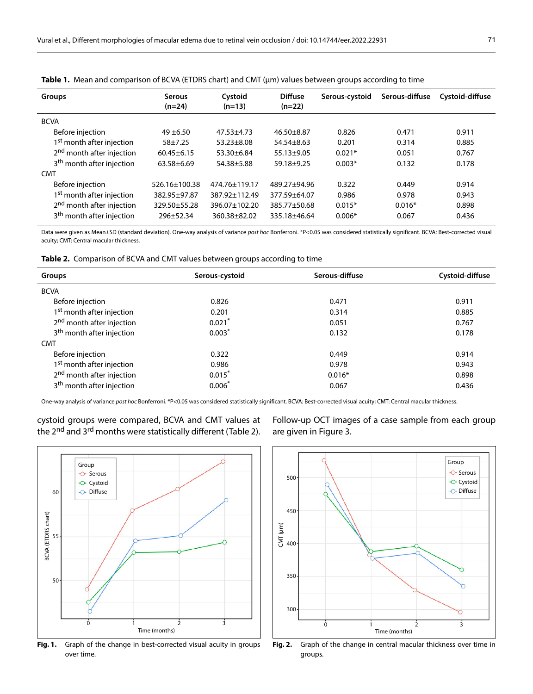| <b>Groups</b>                         | <b>Serous</b><br>$(n=24)$ | Cystoid<br>$(n=13)$ | <b>Diffuse</b><br>$(n=22)$ | Serous-cystoid | Serous-diffuse | Cystoid-diffuse |
|---------------------------------------|---------------------------|---------------------|----------------------------|----------------|----------------|-----------------|
| <b>BCVA</b>                           |                           |                     |                            |                |                |                 |
| Before injection                      | $49 + 6.50$               | $47.53 + 4.73$      | $46.50 + 8.87$             | 0.826          | 0.471          | 0.911           |
| 1 <sup>st</sup> month after injection | $58 + 7.25$               | $53.23 \pm 8.08$    | $54.54 \pm 8.63$           | 0.201          | 0.314          | 0.885           |
| 2 <sup>nd</sup> month after injection | $60.45 + 6.15$            | $53.30 \pm 6.84$    | $55.13 \pm 9.05$           | $0.021*$       | 0.051          | 0.767           |
| 3 <sup>th</sup> month after injection | $63.58 + 6.69$            | 54.38±5.88          | 59.18±9.25                 | $0.003*$       | 0.132          | 0.178           |
| CMT                                   |                           |                     |                            |                |                |                 |
| Before injection                      | 526.16+100.38             | 474.76+119.17       | 489.27+94.96               | 0.322          | 0.449          | 0.914           |
| 1 <sup>st</sup> month after injection | 382.95±97.87              | 387.92±112.49       | 377.59±64.07               | 0.986          | 0.978          | 0.943           |
| 2 <sup>nd</sup> month after injection | 329.50 ± 55.28            | 396.07±102.20       | 385.77+50.68               | $0.015*$       | $0.016*$       | 0.898           |
| 3 <sup>th</sup> month after injection | $296 + 52.34$             | 360.38 ± 82.02      | 335.18±46.64               | $0.006*$       | 0.067          | 0.436           |

|  | <b>Table 1.</b> Mean and comparison of BCVA (ETDRS chart) and CMT ( $\mu$ m) values between groups according to time |  |  |  |  |  |
|--|----------------------------------------------------------------------------------------------------------------------|--|--|--|--|--|
|--|----------------------------------------------------------------------------------------------------------------------|--|--|--|--|--|

Data were given as Mean±SD (standard deviation). One-way analysis of variance *post hoc* Bonferroni. \*P<0.05 was considered statistically significant. BCVA: Best-corrected visual acuity; CMT: Central macular thickness.

**Table 2.** Comparison of BCVA and CMT values between groups according to time

| Groups                                | Serous-cystoid | Serous-diffuse | Cystoid-diffuse |
|---------------------------------------|----------------|----------------|-----------------|
| <b>BCVA</b>                           |                |                |                 |
| Before injection                      | 0.826          | 0.471          | 0.911           |
| 1 <sup>st</sup> month after injection | 0.201          | 0.314          | 0.885           |
| 2 <sup>nd</sup> month after injection | $0.021*$       | 0.051          | 0.767           |
| 3 <sup>th</sup> month after injection | $0.003*$       | 0.132          | 0.178           |
| <b>CMT</b>                            |                |                |                 |
| Before injection                      | 0.322          | 0.449          | 0.914           |
| 1 <sup>st</sup> month after injection | 0.986          | 0.978          | 0.943           |
| 2 <sup>nd</sup> month after injection | $0.015*$       | $0.016*$       | 0.898           |
| 3 <sup>th</sup> month after injection | $0.006*$       | 0.067          | 0.436           |

One-way analysis of variance *post hoc* Bonferroni. \*P<0.05 was considered statistically significant. BCVA: Best-corrected visual acuity; CMT: Central macular thickness.



cystoid groups were compared, BCVA and CMT values at the 2<sup>nd</sup> and 3<sup>rd</sup> months were statistically different (Table 2).

Follow-up OCT images of a case sample from each group are given in Figure 3.



Fig. 1. Graph of the change in best-corrected visual acuity in groups over time.

**Fig. 2.** Graph of the change in central macular thickness over time in groups.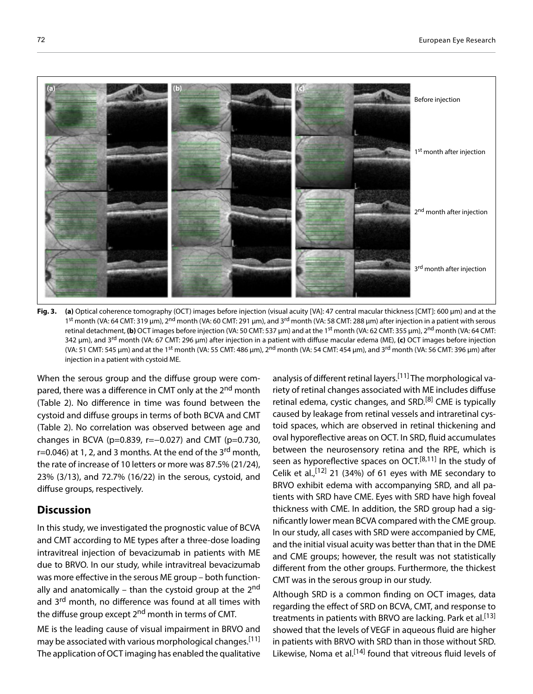

**Fig. 3. (a)** Optical coherence tomography (OCT) images before injection (visual acuity [VA]: 47 central macular thickness [CMT]: 600 µm) and at the 1<sup>st</sup> month (VA: 64 CMT: 319 µm), 2<sup>nd</sup> month (VA: 60 CMT: 291 µm), and 3<sup>rd</sup> month (VA: 58 CMT: 288 µm) after injection in a patient with serous retinal detachment, (b) OCT images before injection (VA: 50 CMT: 537 µm) and at the 1<sup>st</sup> month (VA: 62 CMT: 355 µm), 2<sup>nd</sup> month (VA: 64 CMT: 342 µm), and 3rd month (VA: 67 CMT: 296 µm) after injection in a patient with diffuse macular edema (ME), **(c)** OCT images before injection (VA: 51 CMT: 545 µm) and at the 1<sup>st</sup> month (VA: 55 CMT: 486 µm), 2<sup>nd</sup> month (VA: 54 CMT: 454 µm), and 3<sup>rd</sup> month (VA: 56 CMT: 396 µm) after injection in a patient with cystoid ME.

When the serous group and the diffuse group were compared, there was a difference in CMT only at the 2<sup>nd</sup> month (Table 2). No difference in time was found between the cystoid and diffuse groups in terms of both BCVA and CMT (Table 2). No correlation was observed between age and changes in BCVA (p=0.839, r= $-0.027$ ) and CMT (p=0.730, r=0.046) at 1, 2, and 3 months. At the end of the 3<sup>rd</sup> month, the rate of increase of 10 letters or more was 87.5% (21/24), 23% (3/13), and 72.7% (16/22) in the serous, cystoid, and diffuse groups, respectively.

## **Discussion**

In this study, we investigated the prognostic value of BCVA and CMT according to ME types after a three-dose loading intravitreal injection of bevacizumab in patients with ME due to BRVO. In our study, while intravitreal bevacizumab was more effective in the serous ME group – both functionally and anatomically – than the cystoid group at the 2<sup>nd</sup> and 3<sup>rd</sup> month, no difference was found at all times with the diffuse group except 2<sup>nd</sup> month in terms of CMT.

ME is the leading cause of visual impairment in BRVO and may be associated with various morphological changes.<sup>[11]</sup> The application of OCT imaging has enabled the qualitative

analysis of different retinal layers.[11] The morphological variety of retinal changes associated with ME includes diffuse retinal edema, cystic changes, and SRD.<sup>[8]</sup> CME is typically caused by leakage from retinal vessels and intraretinal cystoid spaces, which are observed in retinal thickening and oval hyporeflective areas on OCT. In SRD, fluid accumulates between the neurosensory retina and the RPE, which is seen as hyporeflective spaces on OCT. $[8,11]$  In the study of Celik et al.,  $[12]$  21 (34%) of 61 eyes with ME secondary to BRVO exhibit edema with accompanying SRD, and all patients with SRD have CME. Eyes with SRD have high foveal thickness with CME. In addition, the SRD group had a significantly lower mean BCVA compared with the CME group. In our study, all cases with SRD were accompanied by CME, and the initial visual acuity was better than that in the DME and CME groups; however, the result was not statistically different from the other groups. Furthermore, the thickest CMT was in the serous group in our study.

Although SRD is a common finding on OCT images, data regarding the effect of SRD on BCVA, CMT, and response to treatments in patients with BRVO are lacking. Park et al.<sup>[13]</sup> showed that the levels of VEGF in aqueous fluid are higher in patients with BRVO with SRD than in those without SRD. Likewise, Noma et al.<sup>[14]</sup> found that vitreous fluid levels of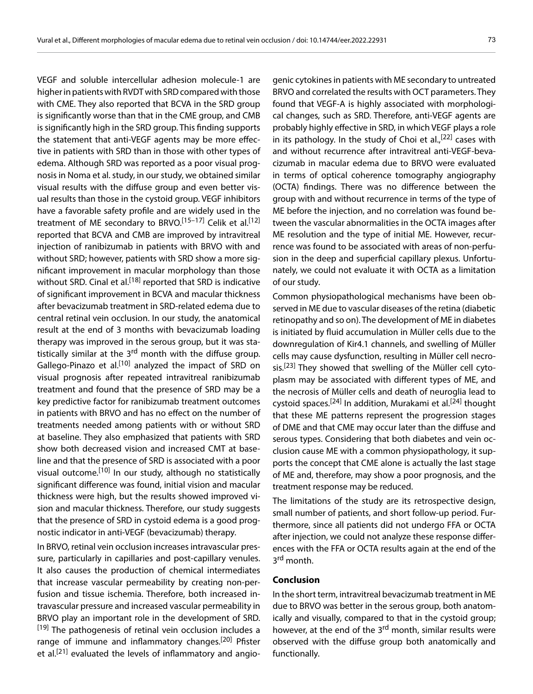VEGF and soluble intercellular adhesion molecule-1 are higher in patients with RVDT with SRD compared with those with CME. They also reported that BCVA in the SRD group is significantly worse than that in the CME group, and CMB is significantly high in the SRD group. This finding supports the statement that anti-VEGF agents may be more effective in patients with SRD than in those with other types of edema. Although SRD was reported as a poor visual prognosis in Noma et al. study, in our study, we obtained similar visual results with the diffuse group and even better visual results than those in the cystoid group. VEGF inhibitors have a favorable safety profile and are widely used in the treatment of ME secondary to BRVO.<sup>[15–17]</sup> Celik et al.<sup>[12]</sup> reported that BCVA and CMB are improved by intravitreal injection of ranibizumab in patients with BRVO with and without SRD; however, patients with SRD show a more significant improvement in macular morphology than those without SRD. Cinal et al.<sup>[18]</sup> reported that SRD is indicative of significant improvement in BCVA and macular thickness after bevacizumab treatment in SRD-related edema due to central retinal vein occlusion. In our study, the anatomical result at the end of 3 months with bevacizumab loading therapy was improved in the serous group, but it was statistically similar at the 3<sup>rd</sup> month with the diffuse group. Gallego-Pinazo et al.<sup>[10]</sup> analyzed the impact of SRD on visual prognosis after repeated intravitreal ranibizumab treatment and found that the presence of SRD may be a key predictive factor for ranibizumab treatment outcomes in patients with BRVO and has no effect on the number of treatments needed among patients with or without SRD at baseline. They also emphasized that patients with SRD show both decreased vision and increased CMT at baseline and that the presence of SRD is associated with a poor visual outcome.[10] In our study, although no statistically significant difference was found, initial vision and macular thickness were high, but the results showed improved vision and macular thickness. Therefore, our study suggests that the presence of SRD in cystoid edema is a good prognostic indicator in anti-VEGF (bevacizumab) therapy.

In BRVO, retinal vein occlusion increases intravascular pressure, particularly in capillaries and post-capillary venules. It also causes the production of chemical intermediates that increase vascular permeability by creating non-perfusion and tissue ischemia. Therefore, both increased intravascular pressure and increased vascular permeability in BRVO play an important role in the development of SRD. [19] The pathogenesis of retinal vein occlusion includes a range of immune and inflammatory changes.<sup>[20]</sup> Pfister et al.<sup>[21]</sup> evaluated the levels of inflammatory and angio-

genic cytokines in patients with ME secondary to untreated BRVO and correlated the results with OCT parameters. They found that VEGF-A is highly associated with morphological changes, such as SRD. Therefore, anti-VEGF agents are probably highly effective in SRD, in which VEGF plays a role in its pathology. In the study of Choi et al.,  $[22]$  cases with and without recurrence after intravitreal anti-VEGF-bevacizumab in macular edema due to BRVO were evaluated in terms of optical coherence tomography angiography (OCTA) findings. There was no difference between the group with and without recurrence in terms of the type of ME before the injection, and no correlation was found between the vascular abnormalities in the OCTA images after ME resolution and the type of initial ME. However, recurrence was found to be associated with areas of non-perfusion in the deep and superficial capillary plexus. Unfortunately, we could not evaluate it with OCTA as a limitation of our study.

Common physiopathological mechanisms have been observed in ME due to vascular diseases of the retina (diabetic retinopathy and so on). The development of ME in diabetes is initiated by fluid accumulation in Müller cells due to the downregulation of Kir4.1 channels, and swelling of Müller cells may cause dysfunction, resulting in Müller cell necrosis.<sup>[23]</sup> They showed that swelling of the Müller cell cytoplasm may be associated with different types of ME, and the necrosis of Müller cells and death of neuroglia lead to cystoid spaces.<sup>[24]</sup> In addition, Murakami et al.<sup>[24]</sup> thought that these ME patterns represent the progression stages of DME and that CME may occur later than the diffuse and serous types. Considering that both diabetes and vein occlusion cause ME with a common physiopathology, it supports the concept that CME alone is actually the last stage of ME and, therefore, may show a poor prognosis, and the treatment response may be reduced.

The limitations of the study are its retrospective design, small number of patients, and short follow-up period. Furthermore, since all patients did not undergo FFA or OCTA after injection, we could not analyze these response differences with the FFA or OCTA results again at the end of the 3<sup>rd</sup> month.

#### **Conclusion**

In the short term, intravitreal bevacizumab treatment in ME due to BRVO was better in the serous group, both anatomically and visually, compared to that in the cystoid group; however, at the end of the 3<sup>rd</sup> month, similar results were observed with the diffuse group both anatomically and functionally.